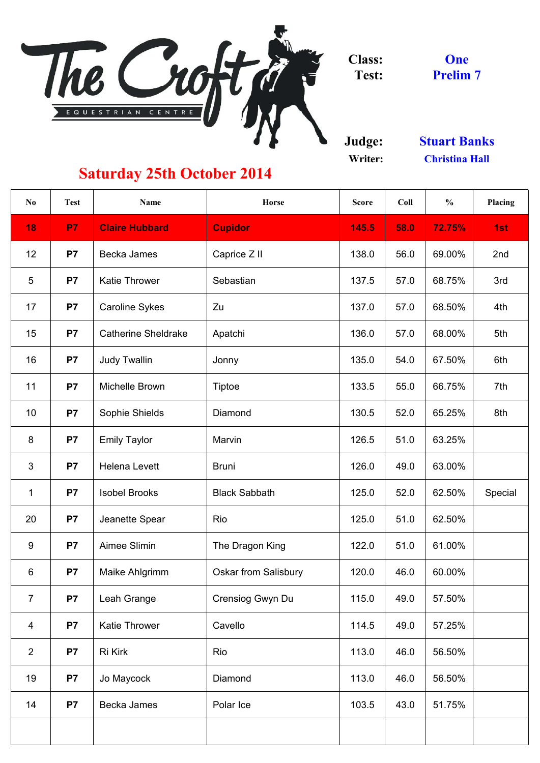

**Class: Test:**

**Judge: Writer:**

| 18              | <b>P7</b>      | <b>Claire Hubbard</b>      |                             |       |      |        |         |
|-----------------|----------------|----------------------------|-----------------------------|-------|------|--------|---------|
|                 |                |                            | <b>Cupidor</b>              | 145.5 | 58.0 | 72.75% | 1st     |
| 12              | P <sub>7</sub> | Becka James                | Caprice Z II                | 138.0 | 56.0 | 69.00% | 2nd     |
| $5\phantom{.0}$ | <b>P7</b>      | <b>Katie Thrower</b>       | Sebastian                   | 137.5 | 57.0 | 68.75% | 3rd     |
| 17              | P7             | <b>Caroline Sykes</b>      | Zu                          | 137.0 | 57.0 | 68.50% | 4th     |
| 15              | P <sub>7</sub> | <b>Catherine Sheldrake</b> | Apatchi                     | 136.0 | 57.0 | 68.00% | 5th     |
| 16              | P7             | <b>Judy Twallin</b>        | Jonny                       | 135.0 | 54.0 | 67.50% | 6th     |
| 11              | P <sub>7</sub> | <b>Michelle Brown</b>      | Tiptoe                      | 133.5 | 55.0 | 66.75% | 7th     |
| 10              | P7             | <b>Sophie Shields</b>      | <b>Diamond</b>              | 130.5 | 52.0 | 65.25% | 8th     |
| 8               | <b>P7</b>      | <b>Emily Taylor</b>        | Marvin                      | 126.5 | 51.0 | 63.25% |         |
| $\mathfrak{S}$  | P7             | <b>Helena Levett</b>       | <b>Bruni</b>                | 126.0 | 49.0 | 63.00% |         |
| $\mathbf 1$     | <b>P7</b>      | <b>Isobel Brooks</b>       | <b>Black Sabbath</b>        | 125.0 | 52.0 | 62.50% | Special |
| 20              | P <sub>7</sub> | Jeanette Spear             | Rio                         | 125.0 | 51.0 | 62.50% |         |
| 9               | <b>P7</b>      | Aimee Slimin               | The Dragon King             | 122.0 | 51.0 | 61.00% |         |
| $6\phantom{1}$  | P7             | Maike Ahlgrimm             | <b>Oskar from Salisbury</b> | 120.0 | 46.0 | 60.00% |         |
| $\overline{7}$  | P7             | Leah Grange                | Crensiog Gwyn Du            | 115.0 | 49.0 | 57.50% |         |
| $\overline{4}$  | P <sub>7</sub> | <b>Katie Thrower</b>       | Cavello                     | 114.5 | 49.0 | 57.25% |         |
| 2               | <b>P7</b>      | Ri Kirk                    | Rio                         | 113.0 | 46.0 | 56.50% |         |
| 19              | P7             | Jo Maycock                 | <b>Diamond</b>              | 113.0 | 46.0 | 56.50% |         |
| 14              | <b>P7</b>      | Becka James                | Polar Ice                   | 103.5 | 43.0 | 51.75% |         |
|                 |                |                            |                             |       |      |        |         |

## **Saturday 25th October 2014**

**Prelim 7 One**

**Christina Hall Stuart Banks**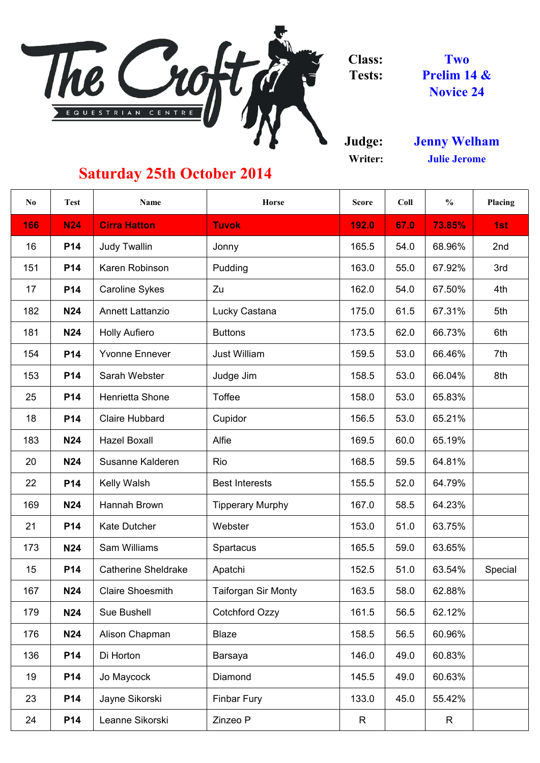

**Class: Tests:**

**Judge: Writer:**

| No  | <b>Test</b> | <b>Name</b>                | <b>Horse</b>               | <b>Score</b> | Coll | $\frac{0}{0}$ | <b>Placing</b> |
|-----|-------------|----------------------------|----------------------------|--------------|------|---------------|----------------|
| 166 | <b>N24</b>  | <b>Cirra Hatton</b>        | <b>Tuvok</b>               | 192.0        | 67.0 | 73.85%        | 1st            |
| 16  | <b>P14</b>  | <b>Judy Twallin</b>        | Jonny                      | 165.5        | 54.0 | 68.96%        | 2nd            |
| 151 | <b>P14</b>  | <b>Karen Robinson</b>      | <b>Pudding</b>             | 163.0        | 55.0 | 67.92%        | 3rd            |
| 17  | <b>P14</b>  | <b>Caroline Sykes</b>      | Zu                         | 162.0        | 54.0 | 67.50%        | 4th            |
| 182 | <b>N24</b>  | <b>Annett Lattanzio</b>    | Lucky Castana              | 175.0        | 61.5 | 67.31%        | 5th            |
| 181 | <b>N24</b>  | <b>Holly Aufiero</b>       | <b>Buttons</b>             | 173.5        | 62.0 | 66.73%        | 6th            |
| 154 | <b>P14</b>  | <b>Yvonne Ennever</b>      | <b>Just William</b>        | 159.5        | 53.0 | 66.46%        | 7th            |
| 153 | <b>P14</b>  | Sarah Webster              | Judge Jim                  | 158.5        | 53.0 | 66.04%        | 8th            |
| 25  | <b>P14</b>  | <b>Henrietta Shone</b>     | <b>Toffee</b>              | 158.0        | 53.0 | 65.83%        |                |
| 18  | <b>P14</b>  | <b>Claire Hubbard</b>      | Cupidor                    | 156.5        | 53.0 | 65.21%        |                |
| 183 | <b>N24</b>  | <b>Hazel Boxall</b>        | <b>Alfie</b>               | 169.5        | 60.0 | 65.19%        |                |
| 20  | <b>N24</b>  | Susanne Kalderen           | Rio                        | 168.5        | 59.5 | 64.81%        |                |
| 22  | <b>P14</b>  | Kelly Walsh                | <b>Best Interests</b>      | 155.5        | 52.0 | 64.79%        |                |
| 169 | <b>N24</b>  | Hannah Brown               | <b>Tipperary Murphy</b>    | 167.0        | 58.5 | 64.23%        |                |
| 21  | <b>P14</b>  | <b>Kate Dutcher</b>        | Webster                    | 153.0        | 51.0 | 63.75%        |                |
| 173 | <b>N24</b>  | <b>Sam Williams</b>        | <b>Spartacus</b>           | 165.5        | 59.0 | 63.65%        |                |
| 15  | <b>P14</b>  | <b>Catherine Sheldrake</b> | Apatchi                    | 152.5        | 51.0 | 63.54%        | Special        |
| 167 | <b>N24</b>  | <b>Claire Shoesmith</b>    | <b>Taiforgan Sir Monty</b> | 163.5        | 58.0 | 62.88%        |                |
| 179 | <b>N24</b>  | <b>Sue Bushell</b>         | <b>Cotchford Ozzy</b>      | 161.5        | 56.5 | 62.12%        |                |
| 176 | <b>N24</b>  | Alison Chapman             | <b>Blaze</b>               | 158.5        | 56.5 | 60.96%        |                |
| 136 | <b>P14</b>  | Di Horton                  | <b>Barsaya</b>             | 146.0        | 49.0 | 60.83%        |                |
| 19  | <b>P14</b>  | Jo Maycock                 | Diamond                    | 145.5        | 49.0 | 60.63%        |                |
| 23  | <b>P14</b>  | Jayne Sikorski             | <b>Finbar Fury</b>         | 133.0        | 45.0 | 55.42%        |                |
| 24  | <b>P14</b>  | Leanne Sikorski            | Zinzeo P                   | R            |      | R             |                |

**Julie Jerome Jenny Welham**

**Two Prelim 14 & Novice 24**

## **Saturday 25th October 2014**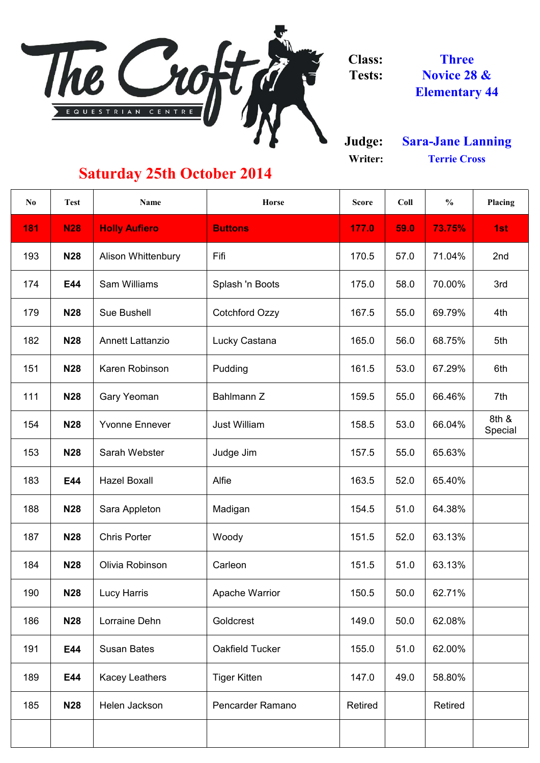

**Class: Tests:**

**Judge: Writer:**

| N <sub>0</sub> | <b>Test</b> | <b>Name</b>               | <b>Horse</b>            | <b>Score</b>   | Coll | $\frac{0}{0}$ | <b>Placing</b>   |
|----------------|-------------|---------------------------|-------------------------|----------------|------|---------------|------------------|
| <b>181</b>     | <b>N28</b>  | <b>Holly Aufiero</b>      | <b>Buttons</b>          | 177.0          | 59.0 | 73.75%        | 1st              |
| 193            | <b>N28</b>  | <b>Alison Whittenbury</b> | Fifi                    | 170.5          | 57.0 | 71.04%        | 2nd              |
| 174            | E44         | <b>Sam Williams</b>       | Splash 'n Boots         | 175.0          | 58.0 | 70.00%        | 3rd              |
| 179            | <b>N28</b>  | <b>Sue Bushell</b>        | <b>Cotchford Ozzy</b>   | 167.5          | 55.0 | 69.79%        | 4th              |
| 182            | <b>N28</b>  | <b>Annett Lattanzio</b>   | Lucky Castana           | 165.0          | 56.0 | 68.75%        | 5th              |
| 151            | <b>N28</b>  | Karen Robinson            | Pudding                 | 161.5          | 53.0 | 67.29%        | 6th              |
| 111            | <b>N28</b>  | <b>Gary Yeoman</b>        | Bahlmann Z              | 159.5          | 55.0 | 66.46%        | 7th              |
| 154            | <b>N28</b>  | <b>Yvonne Ennever</b>     | <b>Just William</b>     | 158.5          | 53.0 | 66.04%        | 8th &<br>Special |
| 153            | <b>N28</b>  | Sarah Webster             | Judge Jim               | 157.5          | 55.0 | 65.63%        |                  |
| 183            | E44         | <b>Hazel Boxall</b>       | Alfie                   | 163.5          | 52.0 | 65.40%        |                  |
| 188            | <b>N28</b>  | Sara Appleton             | Madigan                 | 154.5          | 51.0 | 64.38%        |                  |
| 187            | <b>N28</b>  | <b>Chris Porter</b>       | Woody                   | 151.5          | 52.0 | 63.13%        |                  |
| 184            | <b>N28</b>  | Olivia Robinson           | Carleon                 | 151.5          | 51.0 | 63.13%        |                  |
| 190            | <b>N28</b>  | Lucy Harris               | <b>Apache Warrior</b>   | 150.5          | 50.0 | 62.71%        |                  |
| 186            | <b>N28</b>  | Lorraine Dehn             | Goldcrest               | 149.0          | 50.0 | 62.08%        |                  |
| 191            | E44         | <b>Susan Bates</b>        | <b>Oakfield Tucker</b>  | 155.0          | 51.0 | 62.00%        |                  |
| 189            | E44         | <b>Kacey Leathers</b>     | <b>Tiger Kitten</b>     | 147.0          | 49.0 | 58.80%        |                  |
| 185            | <b>N28</b>  | Helen Jackson             | <b>Pencarder Ramano</b> | <b>Retired</b> |      | Retired       |                  |
|                |             |                           |                         |                |      |               |                  |

**Three Novice 28 & Elementary 44**

## **Saturday 25th October 2014**

**Terrie Cross Sara-Jane Lanning**